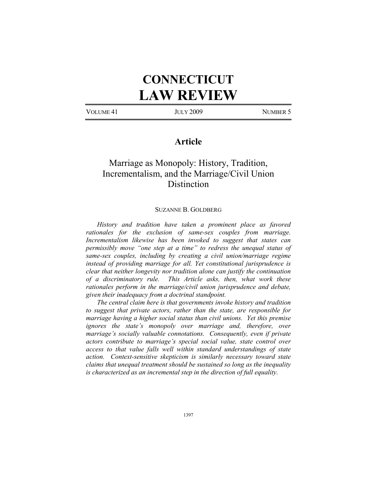# **CONNECTICUT LAW REVIEW**

VOLUME 41 JULY 2009 NUMBER 5

## **Article**

# Marriage as Monopoly: History, Tradition, Incrementalism, and the Marriage/Civil Union **Distinction**

#### SUZANNE B. GOLDBERG

*History and tradition have taken a prominent place as favored rationales for the exclusion of same-sex couples from marriage. Incrementalism likewise has been invoked to suggest that states can permissibly move "one step at a time" to redress the unequal status of same-sex couples, including by creating a civil union/marriage regime instead of providing marriage for all. Yet constitutional jurisprudence is clear that neither longevity nor tradition alone can justify the continuation of a discriminatory rule. This Article asks, then, what work these rationales perform in the marriage/civil union jurisprudence and debate, given their inadequacy from a doctrinal standpoint.* 

*The central claim here is that governments invoke history and tradition to suggest that private actors, rather than the state, are responsible for marriage having a higher social status than civil unions. Yet this premise ignores the state's monopoly over marriage and, therefore, over marriage's socially valuable connotations. Consequently, even if private actors contribute to marriage's special social value, state control over access to that value falls well within standard understandings of state action. Context-sensitive skepticism is similarly necessary toward state claims that unequal treatment should be sustained so long as the inequality is characterized as an incremental step in the direction of full equality.*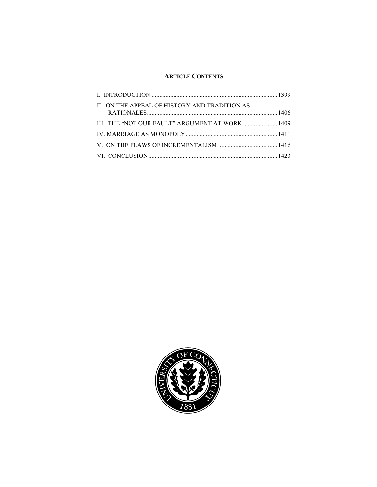### **ARTICLE CONTENTS**

| II. ON THE APPEAL OF HISTORY AND TRADITION AS   |  |
|-------------------------------------------------|--|
| III. THE "NOT OUR FAULT" ARGUMENT AT WORK  1409 |  |
|                                                 |  |
|                                                 |  |
|                                                 |  |

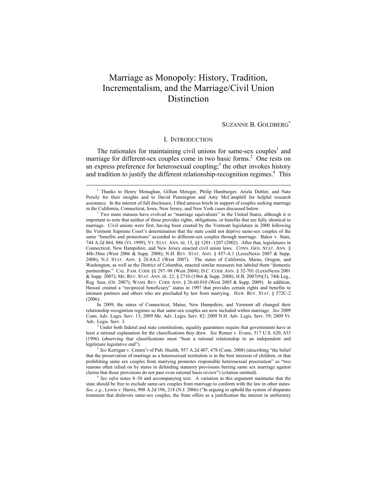# Marriage as Monopoly: History, Tradition, Incrementalism, and the Marriage/Civil Union **Distinction**

SUZANNE B. GOLDBERG<sup>∗</sup>

#### I. INTRODUCTION

The rationales for maintaining civil unions for same-sex couples<sup>1</sup> and marriage for different-sex couples come in two basic forms.<sup>2</sup> One rests on an express preference for heterosexual coupling;<sup>3</sup> the other invokes history and tradition to justify the different relationship-recognition regimes.<sup>4</sup> This

 $\overline{a}$ 

In 2009, the states of Connecticut, Maine, New Hampshire, and Vermont all changed their relationship recognition regimes so that same-sex couples are now included within marriage. *See* 2009 Conn. Adv. Legis. Serv. 13; 2009 Me. Adv. Legis. Serv. 82; 2009 N.H. Adv. Legis. Serv. 59; 2009 Vt. Adv. Legis. Serv. 3.

<sup>∗</sup> Thanks to Henry Monaghan, Gillian Metzger, Philip Hamburger, Ariela Dubler, and Nate Persily for their insights and to David Pennington and Amy McCamphill for helpful research assistance. In the interest of full disclosure, I filed amicus briefs in support of couples seeking marriage in the California, Connecticut, Iowa, New Jersey, and New York cases discussed below. 1

Two main statuses have evolved as "marriage equivalents" in the United States, although it is important to note that neither of these provides rights, obligations, or benefits that are fully identical to marriage. Civil unions were first, having been created by the Vermont legislature in 2000 following the Vermont Supreme Court's determination that the state could not deprive same-sex couples of the same "benefits and protections" accorded to different-sex couples through marriage. Baker v. State, 744 A.2d 864, 886 (Vt. 1999); VT. STAT. ANN. tit. 15, §§ 1201–1207 (2002). After that, legislatures in Connecticut, New Hampshire, and New Jersey enacted civil union laws. CONN. GEN. STAT. ANN. § 46b-38nn (West 2006 & Supp. 2008); N.H. REV. STAT. ANN. § 457-A:1 (LexisNexis 2007 & Supp. 2008); N.J. STAT. ANN. § 26:8A-2 (West 2007). The states of California, Maine, Oregon, and Washington, as well as the District of Columbia, enacted similar measures but labeled them "domestic partnerships." CAL. FAM. CODE §§ 297–98 (West 2004); D.C. CODE ANN. § 32-701 (LexisNexis 2001 & Supp. 2007); ME. REV. STAT. ANN. tit. 22, § 2710 (1964 & Supp. 2008); H.B. 2007(9)(3), 74th Leg., Reg. Sess. (Or. 2007); WASH. REV. CODE ANN. § 26.60.010 (West 2005 & Supp. 2009). In addition, Hawaii created a "reciprocal beneficiary" status in 1997 that provides certain rights and benefits to intimate partners and others who are precluded by law from marrying. HAW. REV. STAT. § 572C-2 (2006).

<sup>&</sup>lt;sup>2</sup> Under both federal and state constitutions, equality guarantees require that governments have at least a rational explanation for the classifications they draw. *See* Romer v. Evans, 517 U.S. 620, 633 (1996) (observing that classifications must "bear a rational relationship to an independent and

<sup>&</sup>lt;sup>3</sup> See Kerrigan v. Comm'r of Pub. Health, 957 A.2d 407, 478 (Conn. 2008) (describing "the belief that the preservation of marriage as a heterosexual institution is in the best interests of children, or that prohibiting same sex couples from marrying promotes responsible heterosexual procreation" as "two reasons often relied on by states in defending statutory provisions barring same sex marriage against claims that those provisions do not pass even rational basis review") (citation omitted).

<sup>4</sup> *See infra* notes 8–30 and accompanying text. A variation in this argument maintains that the state should be free to exclude same-sex couples from marriage to conform with the law in other states. *See, e.g.*, Lewis v. Harris, 908 A.2d 196, 218 (N.J. 2006) ("In arguing to uphold the system of disparate treatment that disfavors same-sex couples, the State offers as a justification the interest in uniformity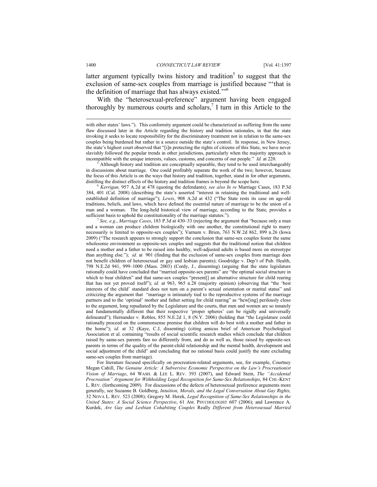latter argument typically twins history and tradition<sup>5</sup> to suggest that the exclusion of same-sex couples from marriage is justified because "'that is the definition of marriage that has always existed."<sup>56</sup>

With the "heterosexual-preference" argument having been engaged thoroughly by numerous courts and scholars, $<sup>7</sup>$  I turn in this Article to the</sup>

 Although history and tradition are conceptually separable, they tend to be used interchangeably in discussions about marriage. One could profitably separate the work of the two; however, because the focus of this Article is on the ways that history and tradition, together, stand in for other arguments, distilling the distinct effects of the history and tradition frames is beyond the scope here. 6 *Kerrigan,* 957 A.2d at 478 (quoting the defendants); *see also In re* Marriage Cases, 183 P.3d

384, 401 (Cal. 2008) (describing the state's asserted "interest in retaining the traditional and wellestablished definition of marriage"); *Lewis*, 908 A.2d at 432 ("The State rests its case on age-old traditions, beliefs, and laws, which have defined the essential nature of marriage to be the union of a man and a woman. The long-held historical view of marriage, according to the State, provides a sufficient basis to uphold the constitutionality of the marriage statutes.").

<sup>7</sup> *See, e.g.*, *Marriage Cases*, 183 P.3d at 430–33 (rejecting the argument that "because only a man and a woman can produce children biologically with one another, the constitutional right to marry necessarily is limited to opposite-sex couples"); Varnum v. Brien, 763 N.W.2d 862, 899 n.26 (Iowa 2009) ("The research appears to strongly support the conclusion that same-sex couples foster the same wholesome environment as opposite-sex couples and suggests that the traditional notion that children need a mother and a father to be raised into healthy, well-adjusted adults is based more on stereotype than anything else."); *id.* at 901 (finding that the exclusion of same-sex couples from marriage does not benefit children of heterosexual or gay and lesbian parents); Goodridge v. Dep't of Pub. Health, 798 N.E.2d 941, 999–1000 (Mass. 2003) (Cordy, J., dissenting) (arguing that the state legislature rationally could have concluded that "married opposite-sex parents" are "the optimal social structure in which to bear children" and that same-sex couples "present[] an alternative structure for child rearing that has not yet proved itself"); *id.* at 963, 965 n.28 (majority opinion) (observing that "the 'best interests of the child' standard does not turn on a parent's sexual orientation or marital status" and criticizing the argument that "marriage is intimately tied to the reproductive systems of the marriage partners and to the 'optimal' mother and father setting for child rearing" as "hew[ing] perilously close to the argument, long repudiated by the Legislature and the courts, that men and women are so innately and fundamentally different that their respective 'proper spheres' can be rigidly and universally delineated"); Hernandez v. Robles, 855 N.E.2d 1, 8 (N.Y. 2006) (holding that "the Legislature could rationally proceed on the commonsense premise that children will do best with a mother and father in the home"); *id.* at 32 (Kaye, C.J, dissenting) (citing amicus brief of American Psychological Association et al. containing "results of social scientific research studies which conclude that children raised by same-sex parents fare no differently from, and do as well as, those raised by opposite-sex parents in terms of the quality of the parent-child relationship and the mental health, development and social adjustment of the child" and concluding that no rational basis could justify the state excluding same-sex couples from marriage).

For literature focused specifically on procreation-related arguments, see, for example, Courtney Megan Cahill, *The Genuine Article: A Subversive Economic Perspective on the Law's Procreationist Vision of Marriage*, 64 WASH. & LEE L. REV. 393 (2007), and Edward Stein, *The "Accidental Procreation" Argument for Withholding Legal Recognition for Same-Sex Relationships*, 84 CHI.-KENT L. REV. (forthcoming 2009). For discussions of the defects of heterosexual preference arguments more generally, see Suzanne B. Goldberg, *Intuition, Morals, and the Legal Conversation About Gay Rights,* 32 NOVA L. REV. 523 (2008); Gregory M. Herek, *Legal Recognition of Same-Sex Relationships in the United States: A Social Science Perspective*, 61 AM. PSYCHOLOGIST 607 (2006); and Lawrence A. Kurdek, *Are Gay and Lesbian Cohabiting Couples* Really *Different from Heterosexual Married* 

with other states' laws."). This conformity argument could be characterized as suffering from the same flaw discussed later in the Article regarding the history and tradition rationales, in that the state invoking it seeks to locate responsibility for the discriminatory treatment not in relation to the same-sex couples being burdened but rather in a source outside the state's control. In response, in New Jersey, the state's highest court observed that "[i]n protecting the rights of citizens of this State, we have never slavishly followed the popular trends in other jurisdictions, particularly when the majority approach is incompatible with the unique interests, values, customs, and concerns of our people." *Id.* at 220.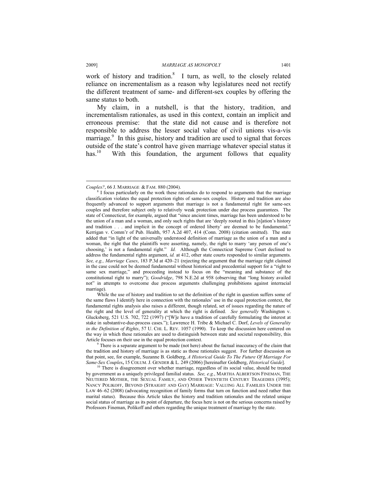work of history and tradition. $8$  I turn, as well, to the closely related reliance on incrementalism as a reason why legislatures need not rectify the different treatment of same- and different-sex couples by offering the same status to both.

My claim, in a nutshell, is that the history, tradition, and incrementalism rationales, as used in this context, contain an implicit and erroneous premise: that the state did not cause and is therefore not responsible to address the lesser social value of civil unions vis-a-vis marriage.<sup>9</sup> In this guise, history and tradition are used to signal that forces outside of the state's control have given marriage whatever special status it has.<sup>10</sup> With this foundation, the argument follows that equality

While the use of history and tradition to set the definition of the right in question suffers some of the same flaws I identify here in connection with the rationales' use in the equal protection context, the fundamental rights analysis also raises a different, though related, set of issues regarding the nature of the right and the level of generality at which the right is defined. *See generally* Washington v. Glucksberg, 521 U.S. 702, 722 (1997) ("[W]e have a tradition of carefully formulating the interest at stake in substantive-due-process cases."); Lawrence H. Tribe & Michael C. Dorf, *Levels of Generality in the Definition of Rights*, 57 U. CHI. L. REV. 1057 (1990). To keep the discussion here centered on the way in which these rationales are used to distinguish between state and societal responsibility, this Article focuses on their use in the equal protection context.

 There is a separate argument to be made (not here) about the factual inaccuracy of the claim that the tradition and history of marriage is as static as those rationales suggest. For further discussion on that point, see, for example, Suzanne B. Goldberg, *A Historical Guide To The Future Of Marriage For* 

*Couples?*, 66 J. MARRIAGE & FAM. 880 (2004).

<sup>&</sup>lt;sup>8</sup> I focus particularly on the work these rationales do to respond to arguments that the marriage classification violates the equal protection rights of same-sex couples. History and tradition are also frequently advanced to support arguments that marriage is not a fundamental right for same-sex couples and therefore subject only to relatively weak protection under due process guarantees. The state of Connecticut, for example, argued that "since ancient times, marriage has been understood to be the union of a man and a woman, and only such rights that are 'deeply rooted in this [n]ation's history and tradition . . . and implicit in the concept of ordered liberty' are deemed to be fundamental." Kerrigan v. Comm'r of Pub. Health, 957 A.2d 407, 414 (Conn. 2008) (citation omitted). The state added that "in light of the universally understood definition of marriage as the union of a man and a woman, the right that the plaintiffs were asserting, namely, the right to marry 'any person of one's choosing,' is not a fundamental right." *Id.* Although the Connecticut Supreme Court declined to address the fundamental rights argument, *id.* at 412, other state courts responded to similar arguments. *See, e.g., Marriage Cases*, 183 P.3d at 420–21 (rejecting the argument that the marriage right claimed in the case could not be deemed fundamental without historical and precedential support for a "right to same sex marriage," and proceeding instead to focus on the "meaning and substance of the constitutional right to marry"); *Goodridge*, 798 N.E.2d at 958 (observing that "long history availed not" in attempts to overcome due process arguments challenging prohibitions against interracial marriage).

There is disagreement over whether marriage, regardless of its social value, should be treated by government as a uniquely privileged familial status. *See, e.g.*, MARTHA ALBERTSON FINEMAN, THE NEUTERED MOTHER, THE SEXUAL FAMILY, AND OTHER TWENTIETH CENTURY TRAGEDIES (1995); NANCY POLIKOFF, BEYOND (STRAIGHT AND GAY) MARRIAGE: VALUING ALL FAMILIES UNDER THE LAW 46–62 (2008) (advocating recognition of family forms that turn on function and need rather than marital status). Because this Article takes the history and tradition rationales and the related unique social status of marriage as its point of departure, the focus here is not on the serious concerns raised by Professors Fineman, Polikoff and others regarding the unique treatment of marriage by the state.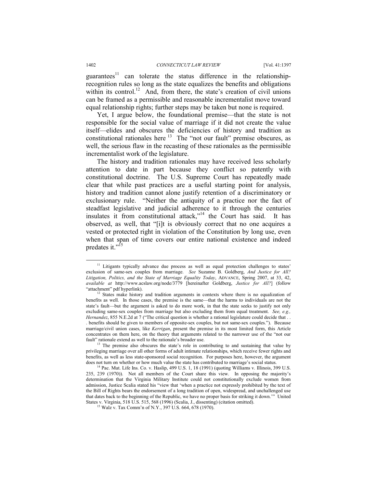guarantees<sup>11</sup> can tolerate the status difference in the relationshiprecognition rules so long as the state equalizes the benefits and obligations within its control.<sup>12</sup> And, from there, the state's creation of civil unions can be framed as a permissible and reasonable incrementalist move toward equal relationship rights; further steps may be taken but none is required.

Yet, I argue below, the foundational premise—that the state is not responsible for the social value of marriage if it did not create the value itself—elides and obscures the deficiencies of history and tradition as constitutional rationales here <sup>13</sup> The "not our fault" premise obscures, as well, the serious flaw in the recasting of these rationales as the permissible incrementalist work of the legislature.

The history and tradition rationales may have received less scholarly attention to date in part because they conflict so patently with constitutional doctrine. The U.S. Supreme Court has repeatedly made clear that while past practices are a useful starting point for analysis, history and tradition cannot alone justify retention of a discriminatory or exclusionary rule. "Neither the antiquity of a practice nor the fact of steadfast legislative and judicial adherence to it through the centuries insulates it from constitutional attack,"<sup>14</sup> the Court has said. It has observed, as well, that "[i]t is obviously correct that no one acquires a vested or protected right in violation of the Constitution by long use, even when that span of time covers our entire national existence and indeed predates it."<sup>15</sup>

<sup>&</sup>lt;sup>11</sup> Litigants typically advance due process as well as equal protection challenges to states' exclusion of same-sex couples from marriage. *See* Suzanne B. Goldberg, *And Justice for All? Litigation, Politics, and the State of Marriage Equality Today*, ADVANCE, Spring 2007, at 33, 42, *available at* http://www.acslaw.org/node/3779 [hereinafter Goldberg, *Justice for All?*] (follow "attachment" pdf hyperlink). 12 States make history and tradition arguments in contexts where there is no equalization of

benefits as well. In those cases, the premise is the same—that the harms to individuals are not the state's fault—but the argument is asked to do more work, in that the state seeks to justify not only excluding same-sex couples from marriage but also excluding them from equal treatment. *See, e.g., Hernandez*, 855 N.E.2d at 7 ("The critical question is whether a rational legislature could decide that . . . benefits should be given to members of opposite-sex couples, but not same-sex couples."). Because marriage/civil union cases, like *Kerrigan*, present the premise in its most limited form, this Article concentrates on them here, on the theory that arguments related to the narrower use of the "not our fault" rationale extend as well to the rationale's broader use.<br><sup>13</sup> The premise also obscures the state's role in contributing to and sustaining that value by

privileging marriage over all other forms of adult intimate relationships, which receive fewer rights and benefits, as well as less state-sponsored social recognition. For purposes here, however, the argument does not turn on whether or how much value the state has contributed to marriage's social status.<br><sup>14</sup> Pac. Mut. Life Ins. Co. v. Haslip, 499 U.S. 1, 18 (1991) (quoting Williams v. Illinois, 399 U.S.

<sup>235, 239 (1970)).</sup> Not all members of the Court share this view. In opposing the majority's determination that the Virginia Military Institute could not constitutionally exclude women from admission, Justice Scalia stated his "view that 'when a practice not expressly prohibited by the text of the Bill of Rights bears the endorsement of a long tradition of open, widespread, and unchallenged use that dates back to the beginning of the Republic, we have no proper basis for striking it down.'" United States v. Virginia, 518 U.S. 515, 568 (1996) (Scalia, J., dissenting) (citation omitted). 15 Walz v. Tax Comm'n of N.Y., 397 U.S. 664, 678 (1970).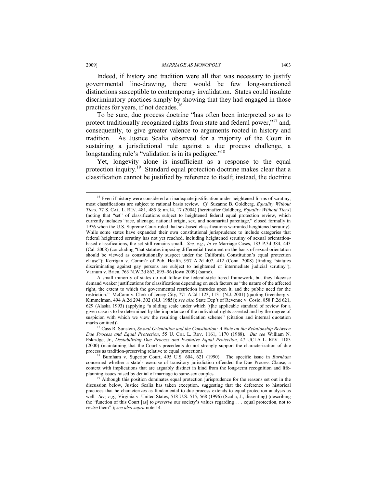Indeed, if history and tradition were all that was necessary to justify governmental line-drawing, there would be few long-sanctioned distinctions susceptible to contemporary invalidation. States could insulate discriminatory practices simply by showing that they had engaged in those practices for years, if not decades.<sup>16</sup>

To be sure, due process doctrine "has often been interpreted so as to protect traditionally recognized rights from state and federal power,"<sup>17</sup> and, consequently, to give greater valence to arguments rooted in history and tradition. As Justice Scalia observed for a majority of the Court in sustaining a jurisdictional rule against a due process challenge, a longstanding rule's "validation is in its pedigree."<sup>18</sup>

Yet, longevity alone is insufficient as a response to the equal protection inquiry.19 Standard equal protection doctrine makes clear that a classification cannot be justified by reference to itself; instead, the doctrine

 $16$  Even if history were considered an inadequate justification under heightened forms of scrutiny, most classifications are subject to rational basis review. *Cf*. Suzanne B. Goldberg, *Equality Without Tiers*, 77 S. CAL. L. REV. 481, 485 & nn.14, 17 (2004) [hereinafter Goldberg, *Equality Without Tiers*] (noting that "set" of classifications subject to heightened federal equal protection review, which currently includes "race, alienage, national origin, sex, and nonmarital parentage," closed formally in 1976 when the U.S. Supreme Court ruled that sex-based classifications warranted heightened scrutiny). While some states have expanded their own constitutional jurisprudence to include categories that federal heightened scrutiny has not yet reached, including heightened scrutiny of sexual orientationbased classifications, the set still remains small. *See, e.g.*, *In re* Marriage Cases, 183 P.3d 384, 443 (Cal. 2008) (concluding "that statutes imposing differential treatment on the basis of sexual orientation should be viewed as constitutionally suspect under the California Constitution's equal protection clause"); Kerrigan v. Comm'r of Pub. Health, 957 A.2d 407, 412 (Conn. 2008) (finding "statutes discriminating against gay persons are subject to heightened or intermediate judicial scrutiny"); Varnum v. Brien, 763 N.W.2d 862, 895–96 (Iowa 2009) (same).

A small minority of states do not follow the federal-style tiered framework, but they likewise demand weaker justifications for classifications depending on such factors as "the nature of the affected right, the extent to which the governmental restriction intrudes upon it, and the public need for the restriction." McCann v. Clerk of Jersey City, 771 A.2d 1123, 1131 (N.J. 2001) (quoting Greenberg v. Kimmelman, 494 A.2d 294, 302 (N.J. 1985)); *see also* State Dep't of Revenue v. Cosio, 858 P.2d 621, 629 (Alaska 1993) (applying "a sliding scale under which [t]he applicable standard of review for a given case is to be determined by the importance of the individual rights asserted and by the degree of suspicion with which we view the resulting classification scheme" (citation and internal quotation marks omitted)).<br><sup>17</sup> Cass R. Sunstein, *Sexual Orientation and the Constitution: A Note on the Relationship Between* 

*Due Process and Equal Protection*, 55 U. CHI. L. REV. 1161, 1170 (1988). *But see* William N. Eskridge, Jr., *Destabilizing Due Process and Evolutive Equal Protection,* 47 UCLA L. REV. 1183 (2000) (maintaining that the Court's precedents do not strongly support the characterization of due

<sup>&</sup>lt;sup>18</sup> Burnham v. Superior Court, 495 U.S. 604, 621 (1990). The specific issue in *Burnham* concerned whether a state's exercise of transitory jurisdiction offended the Due Process Clause, a context with implications that are arguably distinct in kind from the long-term recognition and life-<br>planning issues raised by denial of marriage to same-sex couples.

<sup>&</sup>lt;sup>19</sup> Although this position dominates equal protection jurisprudence for the reasons set out in the discussion below, Justice Scalia has taken exception, suggesting that the deference to historical practices that he characterizes as fundamental to due process extends to equal protection analysis as well. *See, e.g.,* Virginia v. United States, 518 U.S. 515, 568 (1996) (Scalia, J., dissenting) (describing the "function of this Court [as] to *preserve* our society's values regarding . . . equal protection, not to *revise* them" ); *see also supra* note 14.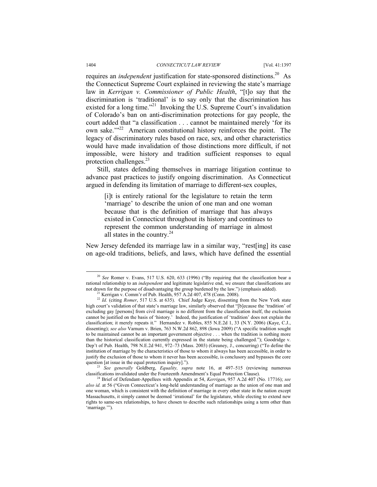requires an *independent* justification for state-sponsored distinctions.<sup>20</sup> As the Connecticut Supreme Court explained in reviewing the state's marriage law in *Kerrigan v. Commissioner of Public Health*, "[t]o say that the discrimination is 'traditional' is to say only that the discrimination has existed for a long time."<sup>21</sup> Invoking the U.S. Supreme Court's invalidation of Colorado's ban on anti-discrimination protections for gay people, the court added that "a classification . . . cannot be maintained merely 'for its own sake.<sup>""22</sup> American constitutional history reinforces the point. The legacy of discriminatory rules based on race, sex, and other characteristics would have made invalidation of those distinctions more difficult, if not impossible, were history and tradition sufficient responses to equal protection challenges. $^{23}$ 

Still, states defending themselves in marriage litigation continue to advance past practices to justify ongoing discrimination. As Connecticut argued in defending its limitation of marriage to different-sex couples,

[i]t is entirely rational for the legislature to retain the term 'marriage' to describe the union of one man and one woman because that is the definition of marriage that has always existed in Connecticut throughout its history and continues to represent the common understanding of marriage in almost all states in the country. $24$ 

New Jersey defended its marriage law in a similar way, "rest[ing] its case on age-old traditions, beliefs, and laws, which have defined the essential

question [at issue in the equal protection inquiry].").<br><sup>23</sup> *See generally* Goldberg, *Equality*, *supra* note 16, at 497–515 (reviewing numerous classifications invalidated under the Fourteenth Amendment's Equal Protecti

 <sup>20</sup> *See* Romer v. Evans, 517 U.S. 620, 633 (1996) ("By requiring that the classification bear a rational relationship to an *independent* and legitimate legislative end, we ensure that classifications are not drawn for the purpose of disadvantaging the group burdened by the law.") (emphasis added).

<sup>21</sup> Kerrigan v. Comm'r of Pub. Health, 957 A.2d 407, 478 (Conn. 2008).

<sup>&</sup>lt;sup>22</sup> *Id.* (citing *Romer*, 517 U.S. at 635). Chief Judge Kaye, dissenting from the New York state high court's validation of that state's marriage law, similarly observed that "[b]ecause the 'tradition' of excluding gay [persons] from civil marriage is no different from the classification itself, the exclusion cannot be justified on the basis of 'history.' Indeed, the justification of 'tradition' does not explain the classification; it merely repeats it." Hernandez v. Robles, 855 N.E.2d 1, 33 (N.Y. 2006) (Kaye, C.J., dissenting); *see also* Varnum v. Brien, 763 N.W.2d 862, 898 (Iowa 2009) ("A specific tradition sought to be maintained cannot be an important government objective . . . when the tradition is nothing more than the historical classification currently expressed in the statute being challenged."); Goodridge v. Dep't of Pub. Health, 798 N.E.2d 941, 972–73 (Mass. 2003) (Greaney, J., concurring) ("To define the institution of marriage by the characteristics of those to whom it always has been accessible, in order to justify the exclusion of those to whom it never has been accessible, is conclusory and bypasses the core

<sup>&</sup>lt;sup>24</sup> Brief of Defendant-Appellees with Appendix at 54, *Kerrigan*, 957 A.2d 407 (No. 17716); see *also id.* at 56 ("Given Connecticut's long-held understanding of marriage as the union of one man and one woman, which is consistent with the definition of marriage in every other state in the nation except Massachusetts, it simply cannot be deemed 'irrational' for the legislature, while electing to extend new rights to same-sex relationships, to have chosen to describe such relationships using a term other than 'marriage.'").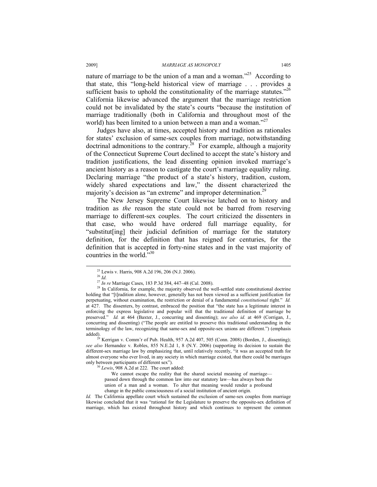#### 2009] *MARRIAGE AS MONOPOLY* 1405

nature of marriage to be the union of a man and a woman.<sup> $25$ </sup> According to that state, this "long-held historical view of marriage . . . provides a sufficient basis to uphold the constitutionality of the marriage statutes.<sup> $26$ </sup> California likewise advanced the argument that the marriage restriction could not be invalidated by the state's courts "because the institution of marriage traditionally (both in California and throughout most of the world) has been limited to a union between a man and a woman."<sup>27</sup>

Judges have also, at times, accepted history and tradition as rationales for states' exclusion of same-sex couples from marriage, notwithstanding doctrinal admonitions to the contrary.<sup>28</sup> For example, although a majority of the Connecticut Supreme Court declined to accept the state's history and tradition justifications, the lead dissenting opinion invoked marriage's ancient history as a reason to castigate the court's marriage equality ruling. Declaring marriage "the product of a state's history, tradition, custom, widely shared expectations and law," the dissent characterized the majority's decision as "an extreme" and improper determination.<sup>29</sup>

The New Jersey Supreme Court likewise latched on to history and tradition as *the* reason the state could not be barred from reserving marriage to different-sex couples. The court criticized the dissenters in that case, who would have ordered full marriage equality, for "substitut[ing] their judicial definition of marriage for the statutory definition, for the definition that has reigned for centuries, for the definition that is accepted in forty-nine states and in the vast majority of countries in the world."30

We cannot escape the reality that the shared societal meaning of marriage passed down through the common law into our statutory law—has always been the union of a man and a woman. To alter that meaning would render a profound change in the public consciousness of a social institution of ancient origin.

*Id.* The California appellate court which sustained the exclusion of same-sex couples from marriage likewise concluded that it was "rational for the Legislature to preserve the opposite-sex definition of marriage, which has existed throughout history and which continues to represent the common

 <sup>25</sup> Lewis v. Harris, 908 A.2d 196, 206 (N.J. 2006).

<sup>&</sup>lt;sup>26</sup> *Id.*<br><sup>27</sup> *In re* Marriage Cases, 183 P.3d 384, 447–48 (Cal. 2008).

<sup>&</sup>lt;sup>28</sup> In California, for example, the majority observed the well-settled state constitutional doctrine holding that "[t]radition alone, however, generally has not been viewed as a sufficient justification for perpetuating, without examination, the restriction or denial of a fundamental *constitutional* right." *Id.* at 427. The dissenters, by contrast, embraced the position that "the state has a legitimate interest in enforcing the express legislative and popular will that the traditional definition of marriage be preserved." *Id.* at 464 (Baxter, J., concurring and dissenting); *see also id.* at 469 (Corrigan, J., concurring and dissenting) ("The people are entitled to preserve this traditional understanding in the terminology of the law, recognizing that same-sex and opposite-sex unions are different.") (emphasis

 $^{29}$  Kerrigan v. Comm'r of Pub. Health, 957 A.2d 407, 505 (Conn. 2008) (Borden, J., dissenting); *see also* Hernandez v. Robles, 855 N.E.2d 1, 8 (N.Y. 2006) (supporting its decision to sustain the different-sex marriage law by emphasizing that, until relatively recently, "it was an accepted truth for almost everyone who ever lived, in any society in which marriage existed, that there could be marriages only between participants of different sex"). 30 *Lewis*, 908 A.2d at 222. The court added: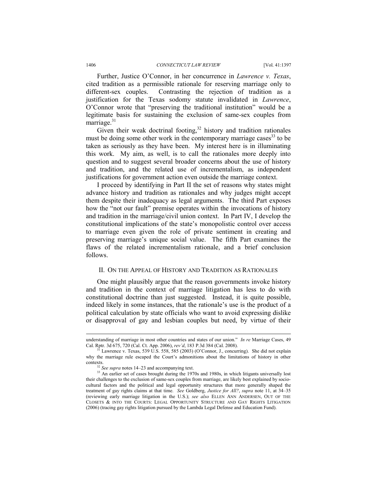Further, Justice O'Connor, in her concurrence in *Lawrence v. Texas*, cited tradition as a permissible rationale for reserving marriage only to different-sex couples. Contrasting the rejection of tradition as a justification for the Texas sodomy statute invalidated in *Lawrence*, O'Connor wrote that "preserving the traditional institution" would be a legitimate basis for sustaining the exclusion of same-sex couples from marriage. $31$ 

Given their weak doctrinal footing,  $32$  history and tradition rationales must be doing some other work in the contemporary marriage cases  $33$  to be taken as seriously as they have been. My interest here is in illuminating this work. My aim, as well, is to call the rationales more deeply into question and to suggest several broader concerns about the use of history and tradition, and the related use of incrementalism, as independent justifications for government action even outside the marriage context.

I proceed by identifying in Part II the set of reasons why states might advance history and tradition as rationales and why judges might accept them despite their inadequacy as legal arguments. The third Part exposes how the "not our fault" premise operates within the invocations of history and tradition in the marriage/civil union context. In Part IV, I develop the constitutional implications of the state's monopolistic control over access to marriage even given the role of private sentiment in creating and preserving marriage's unique social value. The fifth Part examines the flaws of the related incrementalism rationale, and a brief conclusion follows.

#### II. ON THE APPEAL OF HISTORY AND TRADITION AS RATIONALES

One might plausibly argue that the reason governments invoke history and tradition in the context of marriage litigation has less to do with constitutional doctrine than just suggested. Instead, it is quite possible, indeed likely in some instances, that the rationale's use is the product of a political calculation by state officials who want to avoid expressing dislike or disapproval of gay and lesbian couples but need, by virtue of their

understanding of marriage in most other countries and states of our union." *In re* Marriage Cases, 49 Cal. Rptr. 3d 675, 720 (Cal. Ct. App. 2006), *rev'd*, 183 P.3d 384 (Cal. 2008). <sup>31</sup> Lawrence v. Texas, 539 U.S. 558, 585 (2003) (O'Connor, J., concurring). She did not explain

why the marriage rule escaped the Court's admonitions about the limitations of history in other

contexts. 32 *See supra* notes 14–23 and accompanying text. 33 An earlier set of cases brought during the 1970s and 1980s, in which litigants universally lost their challenges to the exclusion of same-sex couples from marriage, are likely best explained by sociocultural factors and the political and legal opportunity structures that more generally shaped the treatment of gay rights claims at that time. *See* Goldberg, *Justice for All?*, *supra* note 11, at 34–35 (reviewing early marriage litigation in the U.S.); *see also* ELLEN ANN ANDERSEN, OUT OF THE CLOSETS & INTO THE COURTS: LEGAL OPPORTUNITY STRUCTURE AND GAY RIGHTS LITIGATION (2006) (tracing gay rights litigation pursued by the Lambda Legal Defense and Education Fund).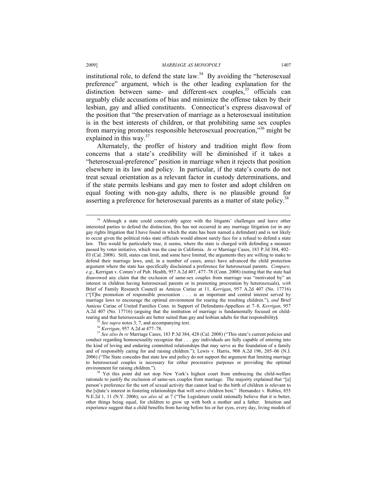#### 2009] *MARRIAGE AS MONOPOLY* 1407

institutional role, to defend the state law.<sup>34</sup> By avoiding the "heterosexual" preference" argument, which is the other leading explanation for the distinction between same- and different-sex couples,<sup>35</sup> officials can arguably elide accusations of bias and minimize the offense taken by their lesbian, gay and allied constituents. Connecticut's express disavowal of the position that "the preservation of marriage as a heterosexual institution is in the best interests of children, or that prohibiting same sex couples from marrying promotes responsible heterosexual procreation,"36 might be explained in this way. $37$ 

Alternately, the proffer of history and tradition might flow from concerns that a state's credibility will be diminished if it takes a "heterosexual-preference" position in marriage when it rejects that position elsewhere in its law and policy. In particular, if the state's courts do not treat sexual orientation as a relevant factor in custody determinations, and if the state permits lesbians and gay men to foster and adopt children on equal footing with non-gay adults, there is no plausible ground for asserting a preference for heterosexual parents as a matter of state policy.<sup>38</sup>

<sup>&</sup>lt;sup>34</sup> Although a state could conceivably agree with the litigants' challenges and leave other interested parties to defend the distinction, this has not occurred in any marriage litigation (or in any gay rights litigation that I have found in which the state has been named a defendant) and is not likely to occur given the political risks state officials would almost surely face for a refusal to defend a state law. This would be particularly true, it seems, where the state is charged with defending a measure passed by voter initiative, which was the case in California. *In re* Marriage Cases, 183 P.3d 384, 402– 03 (Cal. 2008). Still, states can limit, and some have limited, the arguments they are willing to make to defend their marriage laws, and, in a number of cases, amici have advanced the child protection argument where the state has specifically disclaimed a preference for heterosexual parents. *Compare, e.g.*, Kerrigan v. Comm'r of Pub. Health, 957 A.2d 407, 477–78 (Conn. 2008) (noting that the state had disavowed any claim that the exclusion of same-sex couples from marriage was "motivated by" an interest in children having heterosexual parents or in promoting procreation by heterosexuals), *with* Brief of Family Research Council as Amicus Curiae at 11, *Kerrigan*, 957 A.2d 407 (No. 17716) ("[T]he promotion of responsible procreation . . . is an important and central interest served by marriage laws to encourage the optimal environment for rearing the resulting children."), *and* Brief Amicus Curiae of United Families Conn. in Support of Defendants-Appellees at 7–8, *Kerrigan*, 957 A.2d 407 (No. 17716) (arguing that the institution of marriage is fundamentally focused on child-<br>rearing and that heterseoxuals are better suited than gay and lesbian adults for that responsibility).

<sup>&</sup>lt;sup>35</sup> See supra notes 3, 7, and accompanying text.<br><sup>36</sup> Kerrigan, 957 A.2d at 477–78.<br><sup>37</sup> See also In re Marriage Cases, 183 P.3d 384, 428 (Cal. 2008) ("This state's current policies and conduct regarding homosexuality recognize that . . . gay individuals are fully capable of entering into the kind of loving and enduring committed relationships that may serve as the foundation of a family and of responsibly caring for and raising children."); Lewis v. Harris, 908 A.2d 196, 205–06 (N.J. 2006) ("The State concedes that state law and policy do not support the argument that limiting marriage to heterosexual couples is necessary for either procreative purposes or providing the optimal environment for raising children.").<br><sup>38</sup> Yet this point did not stop New York's highest court from embracing the child-welfare

rationale to justify the exclusion of same-sex couples from marriage. The majority explained that "[a] person's preference for the sort of sexual activity that cannot lead to the birth of children is relevant to the [s]tate's interest in fostering relationships that will serve children best." Hernandez v. Robles, 855 N.E.2d 1, 11 (N.Y. 2006); *see also id.* at 7 ("The Legislature could rationally believe that it is better, other things being equal, for children to grow up with both a mother and a father. Intuition and experience suggest that a child benefits from having before his or her eyes, every day, living models of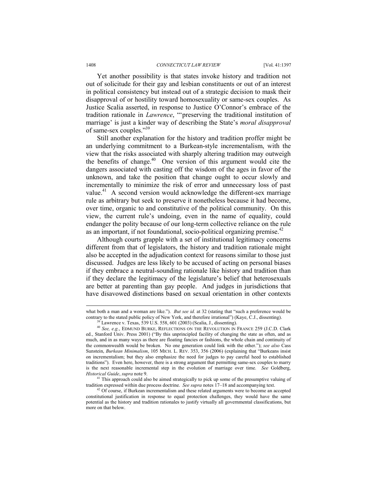Yet another possibility is that states invoke history and tradition not out of solicitude for their gay and lesbian constituents or out of an interest in political consistency but instead out of a strategic decision to mask their disapproval of or hostility toward homosexuality or same-sex couples. As Justice Scalia asserted, in response to Justice O'Connor's embrace of the tradition rationale in *Lawrence*, "'preserving the traditional institution of marriage' is just a kinder way of describing the State's *moral disapproval*  of same-sex couples."39

Still another explanation for the history and tradition proffer might be an underlying commitment to a Burkean-style incrementalism, with the view that the risks associated with sharply altering tradition may outweigh the benefits of change. $40$  One version of this argument would cite the dangers associated with casting off the wisdom of the ages in favor of the unknown, and take the position that change ought to occur slowly and incrementally to minimize the risk of error and unnecessary loss of past value.<sup>41</sup> A second version would acknowledge the different-sex marriage rule as arbitrary but seek to preserve it nonetheless because it had become, over time, organic to and constitutive of the political community. On this view, the current rule's undoing, even in the name of equality, could endanger the polity because of our long-term collective reliance on the rule as an important, if not foundational, socio-political organizing premise.<sup>42</sup>

Although courts grapple with a set of institutional legitimacy concerns different from that of legislators, the history and tradition rationale might also be accepted in the adjudication context for reasons similar to those just discussed. Judges are less likely to be accused of acting on personal biases if they embrace a neutral-sounding rationale like history and tradition than if they declare the legitimacy of the legislature's belief that heterosexuals are better at parenting than gay people. And judges in jurisdictions that have disavowed distinctions based on sexual orientation in other contexts

what both a man and a woman are like."). *But see id.* at 32 (stating that "such a preference would be contrary to the stated public policy of New York, and therefore irrational") (Kaye, C.J., dissenting). 39 Lawrence v. Texas, 539 U.S. 558, 601 (2003) (Scalia, J., dissenting).

<sup>40</sup> *See, e.g.*, EDMUND BURKE, REFLECTIONS ON THE REVOLUTION IN FRANCE 259 (J.C.D. Clark ed., Stanford Univ. Press 2001) ("By this unprincipled facility of changing the state as often, and as much, and in as many ways as there are floating fancies or fashions, the whole chain and continuity of the commonwealth would be broken. No one generation could link with the other."); *see also* Cass Sunstein, *Burkean Minimalism*, 105 MICH. L. REV. 353, 356 (2006) (explaining that "Burkeans insist on incrementalism; but they also emphasize the need for judges to pay careful heed to established traditions"). Even here, however, there is a strong argument that permitting same-sex couples to marry is the next reasonable incremental step in the evolution of marriage over time. *See* Goldberg, *Historical Guide*, *supra* note 9. 41 This approach could also be aimed strategically to pick up some of the presumptive valuing of

tradition expressed within due process doctrine. *See supra* notes 17–18 and accompanying text. 42 Of course, if Burkean incrementalism and these related arguments were to become an accepted

constitutional justification in response to equal protection challenges, they would have the same potential as the history and tradition rationales to justify virtually all governmental classifications, but more on that below.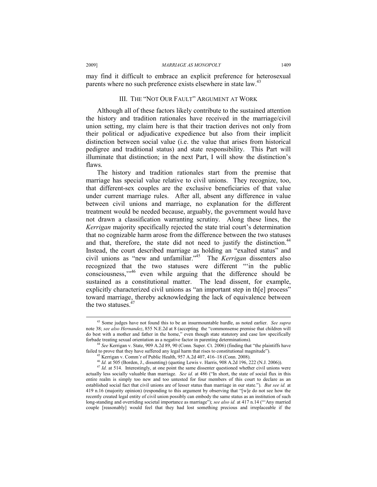#### 2009] *MARRIAGE AS MONOPOLY* 1409

may find it difficult to embrace an explicit preference for heterosexual parents where no such preference exists elsewhere in state law.<sup>43</sup>

#### III. THE "NOT OUR FAULT" ARGUMENT AT WORK

Although all of these factors likely contribute to the sustained attention the history and tradition rationales have received in the marriage/civil union setting, my claim here is that their traction derives not only from their political or adjudicative expedience but also from their implicit distinction between social value (i.e. the value that arises from historical pedigree and traditional status) and state responsibility. This Part will illuminate that distinction; in the next Part, I will show the distinction's flaws.

The history and tradition rationales start from the premise that marriage has special value relative to civil unions. They recognize, too, that different-sex couples are the exclusive beneficiaries of that value under current marriage rules. After all, absent any difference in value between civil unions and marriage, no explanation for the different treatment would be needed because, arguably, the government would have not drawn a classification warranting scrutiny. Along these lines, the *Kerrigan* majority specifically rejected the state trial court's determination that no cognizable harm arose from the difference between the two statuses and that, therefore, the state did not need to justify the distinction.<sup>44</sup> Instead, the court described marriage as holding an "exalted status" and civil unions as "new and unfamiliar."45 The *Kerrigan* dissenters also recognized that the two statuses were different "'in the public consciousness,'"46 even while arguing that the difference should be sustained as a constitutional matter. The lead dissent, for example, explicitly characterized civil unions as "an important step in th[e] process" toward marriage, thereby acknowledging the lack of equivalence between the two statuses.<sup>47</sup>

 <sup>43</sup> Some judges have not found this to be an insurmountable hurdle, as noted earlier. *See supra* note 38; *see also Hernandez*, 855 N.E.2d at 8 (accepting the "commonsense premise that children will do best with a mother and father in the home," even though state statutory and case law specifically forbade treating sexual orientation as a negative factor in parenting determinations).

<sup>&</sup>lt;sup>4</sup> See Kerrigan v. State, 909 A.2d 89, 90 (Conn. Super. Ct. 2006) (finding that "the plaintiffs have failed to prove that they have suffered any legal harm that rises to constitutional magnitude"). 45 Kerrigan v. Comm'r of Public Health, 957 A.2d 407, 416–18 (Conn. 2008).

<sup>46</sup> *Id.* at 505 (Borden, J., dissenting) (quoting Lewis v. Harris, 908 A.2d 196, 222 (N.J. 2006)).<br><sup>47</sup> *Id.* at 514. Interestingly, at one point the same dissenter questioned whether civil unions were actually less socially valuable than marriage. *See id.* at 486 ("In short, the state of social flux in this entire realm is simply too new and too untested for four members of this court to declare as an established social fact that civil unions are of lesser status than marriage in our state."). *But see id.* at 419 n.16 (majority opinion) (responding to this argument by observing that "[w]e do not see how the recently created legal entity of civil union possibly can embody the same status as an institution of such long-standing and overriding societal importance as marriage"); *see also id.* at 417 n.14 ("Any married couple [reasonably] would feel that they had lost something precious and irreplaceable if the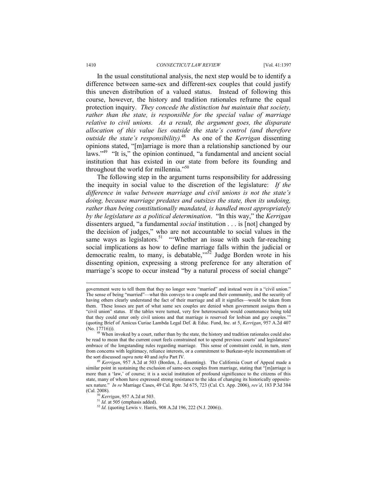In the usual constitutional analysis, the next step would be to identify a difference between same-sex and different-sex couples that could justify this uneven distribution of a valued status. Instead of following this course, however, the history and tradition rationales reframe the equal protection inquiry. *They concede the distinction but maintain that society, rather than the state, is responsible for the special value of marriage relative to civil unions. As a result, the argument goes, the disparate allocation of this value lies outside the state's control (and therefore outside the state's responsibility).*48 As one of the *Kerrigan* dissenting opinions stated, "[m]arriage is more than a relationship sanctioned by our laws."<sup>49</sup> "It is," the opinion continued, "a fundamental and ancient social institution that has existed in our state from before its founding and throughout the world for millennia."<sup>50</sup>

The following step in the argument turns responsibility for addressing the inequity in social value to the discretion of the legislature: *If the difference in value between marriage and civil unions is not the state's doing, because marriage predates and outsizes the state, then its undoing, rather than being constitutionally mandated, is handled most appropriately by the legislature as a political determination*. "In this way," the *Kerrigan*  dissenters argued, "a fundamental *social* institution . . . is [not] changed by the decision of judges," who are not accountable to social values in the same ways as legislators.<sup>51</sup> "Whether an issue with such far-reaching social implications as how to define marriage falls within the judicial or democratic realm, to many, is debatable," $^{552}$  Judge Borden wrote in his dissenting opinion, expressing a strong preference for any alteration of marriage's scope to occur instead "by a natural process of social change"

government were to tell them that they no longer were "married" and instead were in a "civil union." The sense of being "married"—what this conveys to a couple and their community, and the security of having others clearly understand the fact of their marriage and all it signifies—would be taken from them. These losses are part of what same sex couples are denied when government assigns them a "civil union" status. If the tables were turned, very few heterosexuals would countenance being told that they could enter only civil unions and that marriage is reserved for lesbian and gay couples.'" (quoting Brief of Amicus Curiae Lambda Legal Def. & Educ. Fund, Inc. at 5, *Kerrigan*, 957 A.2d 407

<sup>(</sup>No. 17716))). 48 When invoked by a court, rather than by the state, the history and tradition rationales could also be read to mean that the current court feels constrained not to upend previous courts' and legislatures' embrace of the longstanding rules regarding marriage. This sense of constraint could, in turn, stem from concerns with legitimacy, reliance interests, or a commitment to Burkean-style incrementalism of the sort discussed *supra* note 40 and *infra* Part IV. 49 *Kerrigan*, 957 A.2d at 503 (Borden, J., dissenting). The California Court of Appeal made a

similar point in sustaining the exclusion of same-sex couples from marriage, stating that "[m]arriage is more than a 'law,' of course; it is a social institution of profound significance to the citizens of this state, many of whom have expressed strong resistance to the idea of changing its historically oppositesex nature." *In re* Marriage Cases, 49 Cal. Rptr. 3d 675, 723 (Cal. Ct. App. 2006), *rev'd*, 183 P.3d 384 (Cal. 2008). 50 *Kerrigan*, 957 A.2d at 503. 51 *Id.* at 505 (emphasis added). 52 *Id.* (quoting Lewis v. Harris, 908 A.2d 196, 222 (N.J. 2006)).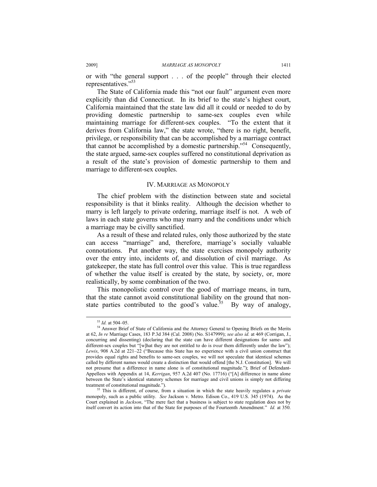or with "the general support . . . of the people" through their elected representatives."53

The State of California made this "not our fault" argument even more explicitly than did Connecticut. In its brief to the state's highest court, California maintained that the state law did all it could or needed to do by providing domestic partnership to same-sex couples even while maintaining marriage for different-sex couples. "To the extent that it derives from California law," the state wrote, "there is no right, benefit, privilege, or responsibility that can be accomplished by a marriage contract that cannot be accomplished by a domestic partnership."54 Consequently, the state argued, same-sex couples suffered no constitutional deprivation as a result of the state's provision of domestic partnership to them and marriage to different-sex couples.

#### IV. MARRIAGE AS MONOPOLY

The chief problem with the distinction between state and societal responsibility is that it blinks reality. Although the decision whether to marry is left largely to private ordering, marriage itself is not. A web of laws in each state governs who may marry and the conditions under which a marriage may be civilly sanctified.

As a result of these and related rules, only those authorized by the state can access "marriage" and, therefore, marriage's socially valuable connotations. Put another way, the state exercises monopoly authority over the entry into, incidents of, and dissolution of civil marriage. As gatekeeper, the state has full control over this value. This is true regardless of whether the value itself is created by the state, by society, or, more realistically, by some combination of the two.

This monopolistic control over the good of marriage means, in turn, that the state cannot avoid constitutional liability on the ground that nonstate parties contributed to the good's value.<sup>55</sup> By way of analogy,

<sup>&</sup>lt;sup>53</sup> *Id.* at 504–05.<br><sup>54</sup> Answer Brief of State of California and the Attorney General to Opening Briefs on the Merits at 62, *In re* Marriage Cases, 183 P.3d 384 (Cal. 2008) (No. S147999); *see also id.* at 469 (Corrigan, J., concurring and dissenting) (declaring that the state can have different designations for same- and different-sex couples but "[w]hat they are not entitled to do is *treat* them differently under the law"); *Lewis*, 908 A.2d at 221–22 ("Because this State has no experience with a civil union construct that provides equal rights and benefits to same-sex couples, we will not speculate that identical schemes called by different names would create a distinction that would offend [the N.J. Constitution]. We will not presume that a difference in name alone is of constitutional magnitude."); Brief of Defendant-Appellees with Appendix at 14, *Kerrigan*, 957 A.2d 407 (No. 17716) ("[A] difference in name alone between the State's identical statutory schemes for marriage and civil unions is simply not differing treatment of constitutional magnitude."). 55 This is different, of course, from a situation in which the state heavily regulates a *private*

monopoly, such as a public utility. *See* Jackson v. Metro. Edison Co., 419 U.S. 345 (1974). As the Court explained in *Jackson*, "The mere fact that a business is subject to state regulation does not by itself convert its action into that of the State for purposes of the Fourteenth Amendment." *Id.* at 350.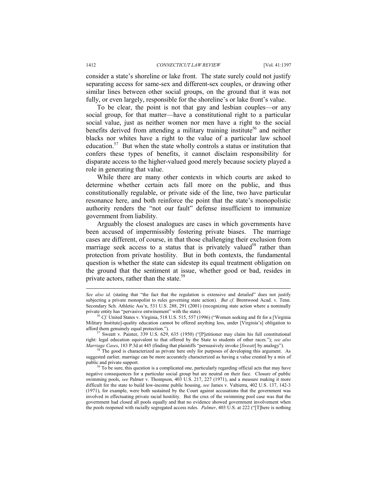consider a state's shoreline or lake front. The state surely could not justify separating access for same-sex and different-sex couples, or drawing other similar lines between other social groups, on the ground that it was not fully, or even largely, responsible for the shoreline's or lake front's value.

To be clear, the point is not that gay and lesbian couples—or any social group, for that matter—have a constitutional right to a particular social value, just as neither women nor men have a right to the social benefits derived from attending a military training institute<sup>56</sup> and neither blacks nor whites have a right to the value of a particular law school education.57 But when the state wholly controls a status or institution that confers these types of benefits, it cannot disclaim responsibility for disparate access to the higher-valued good merely because society played a role in generating that value.

While there are many other contexts in which courts are asked to determine whether certain acts fall more on the public, and thus constitutionally regulable, or private side of the line, two have particular resonance here, and both reinforce the point that the state's monopolistic authority renders the "not our fault" defense insufficient to immunize government from liability.

Arguably the closest analogues are cases in which governments have been accused of impermissibly fostering private biases. The marriage cases are different, of course, in that those challenging their exclusion from marriage seek access to a status that is privately valued<sup>58</sup> rather than protection from private hostility. But in both contexts, the fundamental question is whether the state can sidestep its equal treatment obligation on the ground that the sentiment at issue, whether good or bad, resides in private actors, rather than the state. $59$ 

 $\overline{a}$ 

*See also id.* (stating that "the fact that the regulation is extensive and detailed" does not justify subjecting a private monopolist to rules governing state action). *But cf.* Brentwood Acad. v. Tenn. Secondary Sch. Athletic Ass'n, 531 U.S. 288, 291 (2001) (recognizing state action where a nominally private entity has "pervasive entwinement" with the state).

<sup>&</sup>lt;sup>56</sup> Cf. United States v. Virginia, 518 U.S. 515, 557 (1996) ("Women seeking and fit for a [Virginia Military Institute]-quality education cannot be offered anything less, under [Virginia's] obligation to

Sweatt v. Painter, 339 U.S. 629, 635 (1950) ("[P]etitioner may claim his full constitutional right: legal education equivalent to that offered by the State to students of other races."); *see also Marriage Cases*, 183 P.3d at 445 (finding that plaintiffs "persuasively invoke [*Sweatt*] by analogy"). <sup>58</sup> The good is characterized as private here only for purposes of developing this argument. As

suggested earlier, marriage can be more accurately characterized as having a value created by a mix of public and private support.<br><sup>59</sup> To be sure, this question is a complicated one, particularly regarding official acts that may have

negative consequences for a particular social group but are neutral on their face. Closure of public swimming pools, *see* Palmer v. Thompson, 403 U.S. 217, 227 (1971), and a measure making it more difficult for the state to build low-income public housing, *see* James v. Valtierra, 402 U.S. 137, 142-3 (1971), for example, were both sustained by the Court against accusations that the government was involved in effectuating private racial hostility. But the crux of the swimming pool case was that the government had closed all pools equally and that no evidence showed government involvement when the pools reopened with racially segregated access rules. *Palmer*, 403 U.S. at 222 ("[T]here is nothing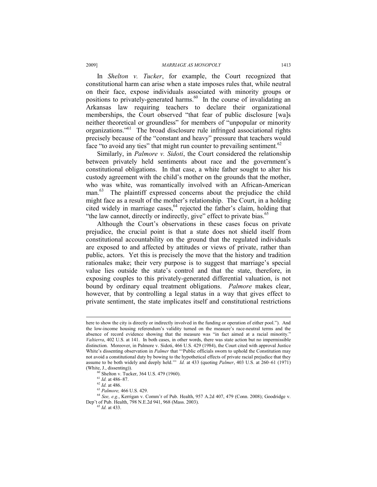In *Shelton v. Tucker*, for example, the Court recognized that constitutional harm can arise when a state imposes rules that, while neutral on their face, expose individuals associated with minority groups or positions to privately-generated harms.<sup>60</sup> In the course of invalidating an Arkansas law requiring teachers to declare their organizational memberships, the Court observed "that fear of public disclosure [wa]s neither theoretical or groundless" for members of "unpopular or minority organizations."61 The broad disclosure rule infringed associational rights precisely because of the "constant and heavy" pressure that teachers would face "to avoid any ties" that might run counter to prevailing sentiment.<sup>62</sup>

Similarly, in *Palmore v. Sidoti*, the Court considered the relationship between privately held sentiments about race and the government's constitutional obligations. In that case, a white father sought to alter his custody agreement with the child's mother on the grounds that the mother, who was white, was romantically involved with an African-American man.<sup>63</sup> The plaintiff expressed concerns about the prejudice the child might face as a result of the mother's relationship. The Court, in a holding cited widely in marriage cases,<sup>64</sup> rejected the father's claim, holding that "the law cannot, directly or indirectly, give" effect to private bias.<sup>65</sup>

Although the Court's observations in these cases focus on private prejudice, the crucial point is that a state does not shield itself from constitutional accountability on the ground that the regulated individuals are exposed to and affected by attitudes or views of private, rather than public, actors. Yet this is precisely the move that the history and tradition rationales make; their very purpose is to suggest that marriage's special value lies outside the state's control and that the state, therefore, in exposing couples to this privately-generated differential valuation, is not bound by ordinary equal treatment obligations. *Palmore* makes clear, however, that by controlling a legal status in a way that gives effect to private sentiment, the state implicates itself and constitutional restrictions

here to show the city is directly or indirectly involved in the funding or operation of either pool."). And the low-income housing referendum's validity turned on the measure's race-neutral terms and the absence of record evidence showing that the measure was "in fact aimed at a racial minority." *Valtierra*, 402 U.S. at 141. In both cases, in other words, there was state action but no impermissible distinction. Moreover, in Palmore v. Sidoti, 466 U.S. 429 (1984), the Court cited with approval Justice White's dissenting observation in *Palmer* that "'Public officials sworn to uphold the Constitution may not avoid a constitutional duty by bowing to the hypothetical effects of private racial prejudice that they assume to be both widely and deeply held.'" *Id.* at 433 (quoting *Palmer*, 403 U.S. at 260–61 (1971) (White, J., dissenting)).<br><sup>60</sup> Shelton v. Tucker, 364 U.S. 479 (1960).<br><sup>61</sup> *Id.* at 486–87.

<sup>61</sup> *Id.* at 486–87. 62 *Id.* at 486. 63 *Palmore,* 466 U.S. 429.

<sup>64</sup> *See, e.g.*, Kerrigan v. Comm'r of Pub. Health, 957 A.2d 407, 479 (Conn. 2008); Goodridge v. Dep't of Pub. Health, 798 N.E.2d 941, 968 (Mass. 2003). 65 *Id.* at 433.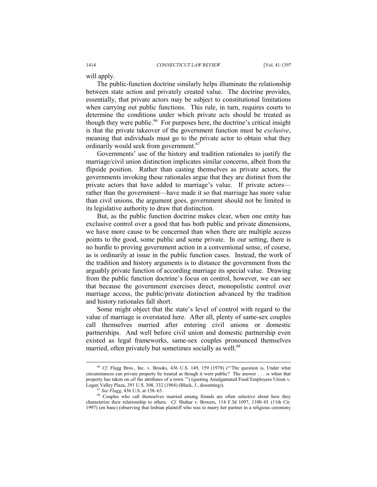will apply.

The public-function doctrine similarly helps illuminate the relationship between state action and privately created value. The doctrine provides, essentially, that private actors may be subject to constitutional limitations when carrying out public functions. This rule, in turn, requires courts to determine the conditions under which private acts should be treated as though they were public. $^{66}$  For purposes here, the doctrine's critical insight is that the private takeover of the government function must be *exclusive*, meaning that individuals must go to the private actor to obtain what they ordinarily would seek from government.<sup>67</sup>

Governments' use of the history and tradition rationales to justify the marriage/civil union distinction implicates similar concerns, albeit from the flipside position. Rather than casting themselves as private actors, the governments invoking these rationales argue that they are distinct from the private actors that have added to marriage's value. If private actors rather than the government—have made it so that marriage has more value than civil unions, the argument goes, government should not be limited in its legislative authority to draw that distinction.

But, as the public function doctrine makes clear, when one entity has exclusive control over a good that has both public and private dimensions, we have more cause to be concerned than when there are multiple access points to the good, some public and some private. In our setting, there is no hurdle to proving government action in a conventional sense, of course, as is ordinarily at issue in the public function cases. Instead, the work of the tradition and history arguments is to distance the government from the arguably private function of according marriage its special value. Drawing from the public function doctrine's focus on control, however, we can see that because the government exercises direct, monopolistic control over marriage access, the public/private distinction advanced by the tradition and history rationales fall short.

Some might object that the state's level of control with regard to the value of marriage is overstated here. After all, plenty of same-sex couples call themselves married after entering civil unions or domestic partnerships. And well before civil union and domestic partnership even existed as legal frameworks, same-sex couples pronounced themselves married, often privately but sometimes socially as well.<sup>68</sup>

<sup>&</sup>lt;sup>66</sup> *Cf.* Flagg Bros., Inc. v. Brooks, 436 U.S. 149, 159 (1978) ("The question is, Under what circumstances can private property be treated as though it were public? The answer . . . is when that property has taken on *all* the attributes of a town.'") (quoting Amalgamated Food Employees Union v. Logan Valley Plaza, 391 U.S. 308, 332 (1968) (Black, J., dissenting)).

<sup>&</sup>lt;sup>67</sup> *See Flagg*, 436 U.S. at 158–63. 68 Couples who call themselves married among friends are often selective about how they characterize their relationship to others. *Cf.* Shahar v. Bowers, 114 F.3d 1097, 1100–01 (11th Cir. 1997) (en banc) (observing that lesbian plaintiff who was to marry her partner in a religious ceremony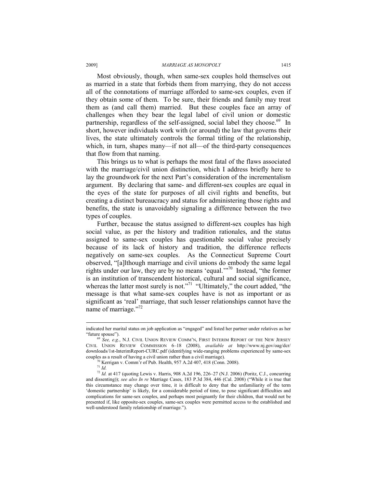#### 2009] *MARRIAGE AS MONOPOLY* 1415

Most obviously, though, when same-sex couples hold themselves out as married in a state that forbids them from marrying, they do not access all of the connotations of marriage afforded to same-sex couples, even if they obtain some of them. To be sure, their friends and family may treat them as (and call them) married. But these couples face an array of challenges when they bear the legal label of civil union or domestic partnership, regardless of the self-assigned, social label they choose.<sup>69</sup> In short, however individuals work with (or around) the law that governs their lives, the state ultimately controls the formal titling of the relationship, which, in turn, shapes many—if not all—of the third-party consequences that flow from that naming.

This brings us to what is perhaps the most fatal of the flaws associated with the marriage/civil union distinction, which I address briefly here to lay the groundwork for the next Part's consideration of the incrementalism argument. By declaring that same- and different-sex couples are equal in the eyes of the state for purposes of all civil rights and benefits, but creating a distinct bureaucracy and status for administering those rights and benefits, the state is unavoidably signaling a difference between the two types of couples.

Further, because the status assigned to different-sex couples has high social value, as per the history and tradition rationales, and the status assigned to same-sex couples has questionable social value precisely because of its lack of history and tradition, the difference reflects negatively on same-sex couples. As the Connecticut Supreme Court observed, "[a]lthough marriage and civil unions do embody the same legal rights under our law, they are by no means 'equal.'<sup>70</sup> Instead, "the former is an institution of transcendent historical, cultural and social significance, whereas the latter most surely is not."<sup>71</sup> "Ultimately," the court added, "the message is that what same-sex couples have is not as important or as significant as 'real' marriage, that such lesser relationships cannot have the name of marriage."<sup>72</sup>

indicated her marital status on job application as "engaged" and listed her partner under relatives as her "future spouse"). 69 *See, e.g.*, N.J. CIVIL UNION REVIEW COMM'N, FIRST INTERIM REPORT OF THE NEW JERSEY

CIVIL UNION REVIEW COMMISSION 6–18 (2008), *available at* http://www.nj.gov/oag/dcr/ downloads/1st-InterimReport-CURC.pdf (identifying wide-ranging problems experienced by same-sex couples as a result of having a civil union rather than a civil marriage). 70 Kerrigan v. Comm'r of Pub. Health, 957 A.2d 407, 418 (Conn. 2008).

<sup>71</sup> *Id.*

<sup>&</sup>lt;sup>72</sup> *Id.* at 417 (quoting Lewis v. Harris, 908 A.2d 196, 226–27 (N.J. 2006) (Poritz, C.J., concurring and dissenting)); *see also In re* Marriage Cases, 183 P.3d 384, 446 (Cal. 2008) ("While it is true that this circumstance may change over time, it is difficult to deny that the unfamiliarity of the term 'domestic partnership' is likely, for a considerable period of time, to pose significant difficulties and complications for same-sex couples, and perhaps most poignantly for their children, that would not be presented if, like opposite-sex couples, same-sex couples were permitted access to the established and well-understood family relationship of marriage.").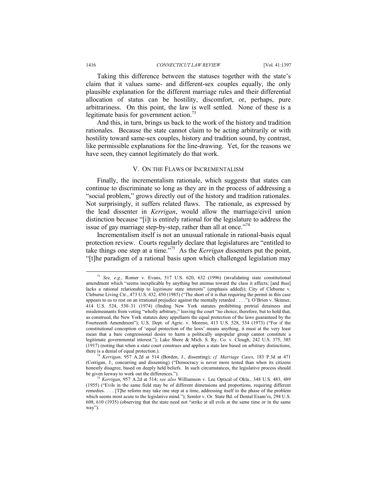Taking this difference between the statuses together with the state's claim that it values same- and different-sex couples equally, the only plausible explanation for the different marriage rules and their differential allocation of status can be hostility, discomfort, or, perhaps, pure arbitrariness. On this point, the law is well settled. None of these is a legitimate basis for government action.<sup>73</sup>

And this, in turn, brings us back to the work of the history and tradition rationales. Because the state cannot claim to be acting arbitrarily or with hostility toward same-sex couples, history and tradition sound, by contrast, like permissible explanations for the line-drawing. Yet, for the reasons we have seen, they cannot legitimately do that work.

#### V. ON THE FLAWS OF INCREMENTALISM

Finally, the incrementalism rationale, which suggests that states can continue to discriminate so long as they are in the process of addressing a "social problem," grows directly out of the history and tradition rationales. Not surprisingly, it suffers related flaws. The rationale, as expressed by the lead dissenter in *Kerrigan*, would allow the marriage/civil union distinction because "[i]t is entirely rational for the legislature to address the issue of gay marriage step-by-step, rather than all at once.<sup> $274$ </sup>

Incrementalism itself is not an unusual rationale in rational-basis equal protection review. Courts regularly declare that legislatures are "entitled to take things one step at a time."75 As the *Kerrigan* dissenters put the point, "[t]he paradigm of a rational basis upon which challenged legislation may

 <sup>73</sup> *See, e.g.*, Romer v. Evans, 517 U.S. 620, 632 (1996) (invalidating state constitutional amendment which "seems inexplicable by anything but animus toward the class it affects; [and thus] lacks a rational relationship to *legitimate* state interests" (emphasis added)); City of Cleburne v. Cleburne Living Ctr., 473 U.S. 432, 450 (1985) ("The short of it is that requiring the permit in this case appears to us to rest on an irrational prejudice against the mentally retarded . . . ."); O'Brien v. Skinner, 414 U.S. 524, 530–31 (1974) (finding New York statutes prohibiting pretrial detainees and misdemeanants from voting "wholly arbitrary," leaving the court "no choice, therefore, but to hold that, as construed, the New York statutes deny appellants the equal protection of the laws guaranteed by the Fourteenth Amendment"); U.S. Dept. of Agric. v. Moreno, 413 U.S. 528, 534 (1973) ("For if the constitutional conception of 'equal protection of the laws' means anything, it must at the very least mean that a bare congressional desire to harm a politically unpopular group cannot constitute a legitimate governmental interest."); Lake Shore & Mich. S. Ry. Co. v. Clough, 242 U.S. 375, 385 (1917) (noting that when a state court construes and applies a state law based on arbitrary distinctions, there is a denial of equal protection.). 74 *Kerrigan*, 957 A.2d at 514 (Borden, J., dissenting); *cf. Marriage Cases*, 183 P.3d at 471

<sup>(</sup>Corrigan, J., concurring and dissenting) ("Democracy is never more tested than when its citizens honestly disagree, based on deeply held beliefs. In such circumstances, the legislative process should be given leeway to work out the differences.").

<sup>&</sup>lt;sup>75</sup> *Kerrigan*, 957 A.2d at 514; *see also* Williamson v. Lee Optical of Okla., 348 U.S. 483, 489 (1955) ("Evils in the same field may be of different dimensions and proportions, requiring different remedies. . . . [T]he reform may take one step at a time, addressing itself to the phase of the problem which seems most acute to the legislative mind."); Semler v. Or. State Bd. of Dental Exam'rs, 294 U.S. 608, 610 (1935) (observing that the state need not "strike at all evils at the same time or in the same way").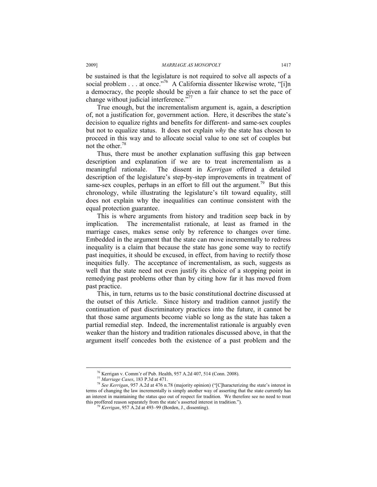be sustained is that the legislature is not required to solve all aspects of a social problem . . . at once."<sup>76</sup> A California dissenter likewise wrote, "[i]n a democracy, the people should be given a fair chance to set the pace of change without judicial interference." $T$ 

True enough, but the incrementalism argument is, again, a description of, not a justification for, government action. Here, it describes the state's decision to equalize rights and benefits for different- and same-sex couples but not to equalize status. It does not explain *why* the state has chosen to proceed in this way and to allocate social value to one set of couples but not the other.78

Thus, there must be another explanation suffusing this gap between description and explanation if we are to treat incrementalism as a meaningful rationale. The dissent in *Kerrigan* offered a detailed description of the legislature's step-by-step improvements in treatment of same-sex couples, perhaps in an effort to fill out the argument.<sup>79</sup> But this chronology, while illustrating the legislature's tilt toward equality, still does not explain why the inequalities can continue consistent with the equal protection guarantee.

This is where arguments from history and tradition seep back in by implication. The incrementalist rationale, at least as framed in the marriage cases, makes sense only by reference to changes over time. Embedded in the argument that the state can move incrementally to redress inequality is a claim that because the state has gone some way to rectify past inequities, it should be excused, in effect, from having to rectify those inequities fully. The acceptance of incrementalism, as such, suggests as well that the state need not even justify its choice of a stopping point in remedying past problems other than by citing how far it has moved from past practice.

This, in turn, returns us to the basic constitutional doctrine discussed at the outset of this Article. Since history and tradition cannot justify the continuation of past discriminatory practices into the future, it cannot be that those same arguments become viable so long as the state has taken a partial remedial step. Indeed, the incrementalist rationale is arguably even weaker than the history and tradition rationales discussed above, in that the argument itself concedes both the existence of a past problem and the

<sup>&</sup>lt;sup>76</sup> Kerrigan v. Comm'r of Pub. Health, 957 A.2d 407, 514 (Conn. 2008).<br><sup>77</sup> Marriage Cases, 183 P.3d at 471.

<sup>&</sup>lt;sup>78</sup> See Kerrigan, 957 A.2d at 476 n.78 (majority opinion) ("[C]haracterizing the state's interest in terms of changing the law incrementally is simply another way of asserting that the state currently has an interest in maintaining the status quo out of respect for tradition. We therefore see no need to treat this proffered reason separately from the state's asserted interest in tradition."). 79 *Kerrigan*, 957 A.2d at 493–99 (Borden, J., dissenting).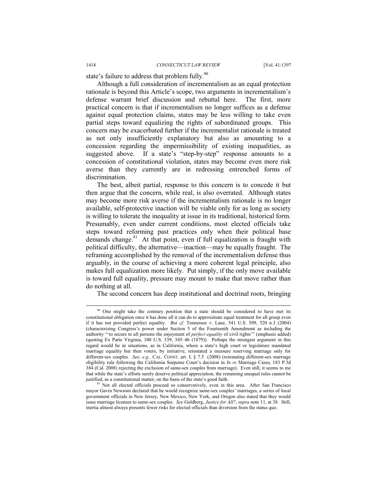state's failure to address that problem fully.<sup>80</sup>

Although a full consideration of incrementalism as an equal protection rationale is beyond this Article's scope, two arguments in incrementalism's defense warrant brief discussion and rebuttal here. The first, more practical concern is that if incrementalism no longer suffices as a defense against equal protection claims, states may be less willing to take even partial steps toward equalizing the rights of subordinated groups. This concern may be exacerbated further if the incrementalist rationale is treated as not only insufficiently explanatory but also as amounting to a concession regarding the impermissibility of existing inequalities, as suggested above. If a state's "step-by-step" response amounts to a concession of constitutional violation, states may become even more risk averse than they currently are in redressing entrenched forms of discrimination.

The best, albeit partial, response to this concern is to concede it but then argue that the concern, while real, is also overrated. Although states may become more risk averse if the incrementalism rationale is no longer available, self-protective inaction will be viable only for as long as society is willing to tolerate the inequality at issue in its traditional, historical form. Presumably, even under current conditions, most elected officials take steps toward reforming past practices only when their political base demands change. $81$  At that point, even if full equalization is fraught with political difficulty, the alternative—inaction—may be equally fraught. The reframing accomplished by the removal of the incrementalism defense thus arguably, in the course of achieving a more coherent legal principle, also makes full equalization more likely. Put simply, if the only move available is toward full equality, pressure may mount to make that move rather than do nothing at all.

The second concern has deep institutional and doctrinal roots, bringing

<sup>&</sup>lt;sup>80</sup> One might take the contrary position that a state should be considered to have met its constitutional obligation once it has done all it can do to approximate equal treatment for all group even if it has not provided perfect equality. *But cf.* Tennessee v. Lane, 541 U.S. 509, 520 n.3 (2004) (characterizing Congress's power under Section 5 of the Fourteenth Amendment as including the authority "'to secure to all persons the enjoyment of *perfect equality* of civil rights'" (emphasis added) (quoting Ex Parte Virginia, 100 U.S. 339, 345–46 (1879)). Perhaps the strongest argument in this regard would be in situations, as in California, where a state's high court or legislature mandated marriage equality but then voters, by initiative, reinstated a measure reserving marriage only for different-sex couples. *See, e.g.,* CAL. CONST. art. I, § 7.5 (2008) (reinstating different-sex marriage eligibility rule following the California Surpeme Court's decision in *In re* Marriage Cases, 183 P.3d 384 (Cal. 2008) rejecting the exclusion of same-sex couples from marriage). Even still, it seems to me that while the state's efforts surely deserve political appreciation, the remaining unequal rules cannot be

<sup>&</sup>lt;sup>81</sup> Not all elected officials proceed so conservatively, even in this area. After San Francisco mayor Gavin Newsom declared that he would recognize same-sex couples' marriages, a series of local government officials in New Jersey, New Mexico, New York, and Oregon also stated that they would issue marriage licenses to same-sex couples. *See* Goldberg, *Justice for All?*, *supra* note 11, at 38. Still, inertia almost always presents fewer risks for elected officials than diversion from the status quo.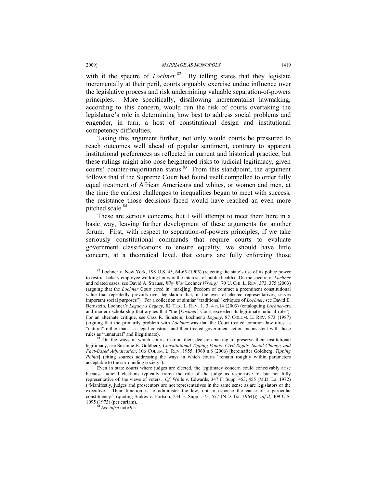with it the spectre of *Lochner*.<sup>82</sup> By telling states that they legislate incrementally at their peril, courts arguably exercise undue influence over the legislative process and risk undermining valuable separation-of-powers principles. More specifically, disallowing incrementalist lawmaking, according to this concern, would run the risk of courts overtaking the legislature's role in determining how best to address social problems and engender, in turn, a host of constitutional design and institutional competency difficulties.

Taking this argument further, not only would courts be pressured to reach outcomes well ahead of popular sentiment, contrary to apparent institutional preferences as reflected in current and historical practice, but these rulings might also pose heightened risks to judicial legitimacy, given courts' counter-majoritarian status.<sup>83</sup> From this standpoint, the argument follows that if the Supreme Court had found itself compelled to order fully equal treatment of African Americans and whites, or women and men, at the time the earliest challenges to inequalities began to meet with success, the resistance those decisions faced would have reached an even more pitched scale.<sup>84</sup>

These are serious concerns, but I will attempt to meet them here in a basic way, leaving further development of these arguments for another forum. First, with respect to separation-of-powers principles, if we take seriously constitutional commands that require courts to evaluate government classifications to ensure equality, we should have little concern, at a theoretical level, that courts are fully enforcing those

 $82$  Lochner v. New York, 198 U.S. 45, 64-65 (1905) (rejecting the state's use of its police power to restrict bakery employee working hours in the interests of public health). On the spectre of *Lochner*  and related cases, see David A. Strauss, *Why Was* Lochner *Wrong?,* 70 U. CHI. L. REV. 373, 375 (2003) (arguing that the *Lochner* Court erred in "mak[ing] freedom of contract a preeminent constitutional value that repeatedly prevails over legislation that, in the eyes of elected representatives, serves important social purposes"). For a collection of similar "traditional" critiques of *Lochner*, see David E. Bernstein, Lochner*'s Legacy's Legacy,* 82 TEX. L. REV. 1, 3, 4 n.14 (2003) (cataloguing *Lochner*-era and modern scholarship that argues that "the [*Lochner*] Court exceeded its legitimate judicial role"). For an alternate critique, see Cass R. Sunstein, Lochner*'s Legacy*, 87 COLUM. L. REV. 873 (1987) (arguing that the primarily problem with *Lochner* was that the Court treated common law ulres as "natural" rather than as a legal construct and then treated government action inconsistent with those rules as "unnatural" and illegitimate).

<sup>&</sup>lt;sup>83</sup> On the ways in which courts restrain their decision-making to preserve their institutional legitimacy, see Suzanne B. Goldberg, *Constitutional Tipping Points: Civil Rights, Social Change, and Fact-Based Adjudication*, 106 COLUM. L. REV. 1955, 1960 n.8 (2006) [hereinafter Goldberg, *Tipping Points*] (citing sources addressing the ways in which courts "remain roughly within parameters acceptable to the surrounding society").

Even in state courts where judges are elected, the legitimacy concern could conceivably arise because judicial elections typically frame the role of the judge as responsive to, but not fully representative of, the views of voters. *Cf.* Wells v. Edwards, 347 F. Supp. 453, 455 (M.D. La. 1972) ("Manifestly, judges and prosecutors are not representatives in the same sense as are legislators or the executive. Their function is to administer the law, not to espouse the cause of a particular constituency." (quoting Stokes v. Fortson, 234 F. Supp. 575, 577 (N.D. Ga. 1964))), *aff'd*, 409 U.S. 1095 (1973) (per curiam). 84 *See infra* note 95.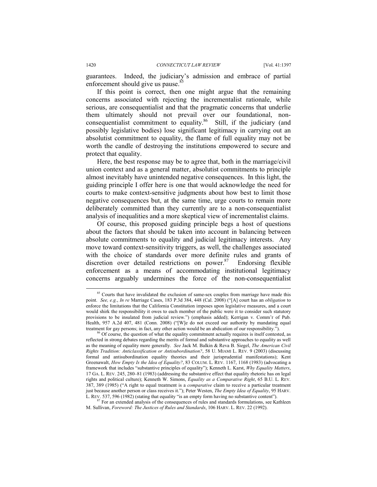guarantees. Indeed, the judiciary's admission and embrace of partial enforcement should give us pause.<sup>85</sup>

If this point is correct, then one might argue that the remaining concerns associated with rejecting the incrementalist rationale, while serious, are consequentialist and that the pragmatic concerns that underlie them ultimately should not prevail over our foundational, nonconsequentialist commitment to equality.<sup>86</sup> Still, if the judiciary (and possibly legislative bodies) lose significant legitimacy in carrying out an absolutist commitment to equality, the flame of full equality may not be worth the candle of destroying the institutions empowered to secure and protect that equality.

Here, the best response may be to agree that, both in the marriage/civil union context and as a general matter, absolutist commitments to principle almost inevitably have unintended negative consequences. In this light, the guiding principle I offer here is one that would acknowledge the need for courts to make context-sensitive judgments about how best to limit those negative consequences but, at the same time, urge courts to remain more deliberately committed than they currently are to a non-consequentialist analysis of inequalities and a more skeptical view of incrementalist claims.

Of course, this proposed guiding principle begs a host of questions about the factors that should be taken into account in balancing between absolute commitments to equality and judicial legitimacy interests. Any move toward context-sensitivity triggers, as well, the challenges associated with the choice of standards over more definite rules and grants of discretion over detailed restrictions on power. $87$  Endorsing flexible enforcement as a means of accommodating institutional legitimacy concerns arguably undermines the force of the non-consequentialist

<sup>&</sup>lt;sup>85</sup> Courts that have invalidated the exclusion of same-sex couples from marriage have made this point. *See, e.g.*, *In re* Marriage Cases, 183 P.3d 384, 448 (Cal. 2008) ("[A] court has an *obligation* to enforce the limitations that the California Constitution imposes upon legislative measures, and a court would shirk the responsibility it owes to each member of the public were it to consider such statutory provisions to be insulated from judicial review.") (emphasis added); Kerrigan v. Comm'r of Pub. Health, 957 A.2d 407, 481 (Conn. 2008) ("[W]e do not exceed our authority by mandating equal treatment for gay persons; in fact, any other action would be an abdication of our responsibility.").

 $66$  Of course, the question of what the equality commitment actually requires is itself contested, as reflected in strong debates regarding the merits of formal and substantive approaches to equality as well as the meaning of equality more generally. *See* Jack M. Balkin & Reva B. Siegel, *The American Civil Rights Tradition: Anticlassification or Antisubordination?*, 58 U. MIAMI L. REV. 9 (2003) (discussing formal and antisubordination equality theories and their jurisprudential manifestations); Kent Greenawalt, *How Empty Is the Idea of Equality?*, 83 COLUM. L. REV. 1167, 1168 (1983) (advocating a framework that includes "substantive principles of equality"); Kenneth L. Karst, *Why Equality Matters*, 17 GA. L. REV. 245, 280–81 (1983) (addressing the substantive effect that equality rhetoric has on legal rights and political culture); Kenneth W. Simons, *Equality as a Comparative Right*, 65 B.U. L. REV. 387, 389 (1985) ("A right to equal treatment is a *comparative* claim to receive a particular treatment just because another person or class receives it."); Peter Westen, *The Empty Idea of Equality*, 95 HARV. L. REV. 537, 596 (1982) (stating that equality "is an empty form having no substantive content").

<sup>&</sup>lt;sup>87</sup> For an extended analysis of the consequences of rules and standards formulations, see Kathleen M. Sullivan, *Foreword: The Justices of Rules and Standards*, 106 HARV. L. REV. 22 (1992).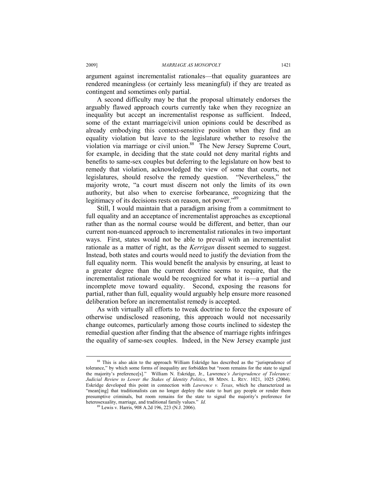argument against incrementalist rationales—that equality guarantees are rendered meaningless (or certainly less meaningful) if they are treated as contingent and sometimes only partial.

A second difficulty may be that the proposal ultimately endorses the arguably flawed approach courts currently take when they recognize an inequality but accept an incrementalist response as sufficient. Indeed, some of the extant marriage/civil union opinions could be described as already embodying this context-sensitive position when they find an equality violation but leave to the legislature whether to resolve the violation via marriage or civil union.<sup>88</sup> The New Jersey Supreme Court, for example, in deciding that the state could not deny marital rights and benefits to same-sex couples but deferring to the legislature on how best to remedy that violation, acknowledged the view of some that courts, not legislatures, should resolve the remedy question. "Nevertheless," the majority wrote, "a court must discern not only the limits of its own authority, but also when to exercise forbearance, recognizing that the legitimacy of its decisions rests on reason, not power."<sup>89</sup>

Still, I would maintain that a paradigm arising from a commitment to full equality and an acceptance of incrementalist approaches as exceptional rather than as the normal course would be different, and better, than our current non-nuanced approach to incrementalist rationales in two important ways. First, states would not be able to prevail with an incrementalist rationale as a matter of right, as the *Kerrigan* dissent seemed to suggest. Instead, both states and courts would need to justify the deviation from the full equality norm. This would benefit the analysis by ensuring, at least to a greater degree than the current doctrine seems to require, that the incrementalist rationale would be recognized for what it is—a partial and incomplete move toward equality. Second, exposing the reasons for partial, rather than full, equality would arguably help ensure more reasoned deliberation before an incrementalist remedy is accepted.

As with virtually all efforts to tweak doctrine to force the exposure of otherwise undisclosed reasoning, this approach would not necessarily change outcomes, particularly among those courts inclined to sidestep the remedial question after finding that the absence of marriage rights infringes the equality of same-sex couples. Indeed, in the New Jersey example just

<sup>88</sup> This is also akin to the approach William Eskridge has described as the "jurisprudence of tolerance," by which some forms of inequality are forbidden but "room remains for the state to signal the majority's preference[s]." William N. Eskridge, Jr., Lawrence*'s Jurisprudence of Tolerance: Judicial Review to Lower the Stakes of Identity Politics*, 88 MINN. L. REV. 1021, 1025 (2004). Eskridge developed this point in connection with *Lawrence v. Texas*, which he characterized as "mean[ing] that traditionalists can no longer deploy the state to hurt gay people or render them presumptive criminals, but room remains for the state to signal the majority's preference for heterosexuality, marriage, and traditional family values." *Id.*

<sup>89</sup> Lewis v. Harris, 908 A.2d 196, 223 (N.J. 2006).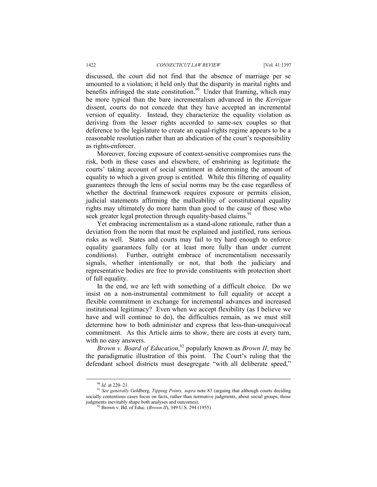discussed, the court did not find that the absence of marriage per se amounted to a violation; it held only that the disparity in marital rights and benefits infringed the state constitution.<sup>90</sup> Under that framing, which may be more typical than the bare incrementalism advanced in the *Kerrigan*  dissent, courts do not concede that they have accepted an incremental version of equality. Instead, they characterize the equality violation as deriving from the lesser rights accorded to same-sex couples so that deference to the legislature to create an equal-rights regime appears to be a reasonable resolution rather than an abdication of the court's responsibility as rights-enforcer.

Moreover, forcing exposure of context-sensitive compromises runs the risk, both in these cases and elsewhere, of enshrining as legitimate the courts' taking account of social sentiment in determining the amount of equality to which a given group is entitled. While this filtering of equality guarantees through the lens of social norms may be the case regardless of whether the doctrinal framework requires exposure or permits elision, judicial statements affirming the malleability of constitutional equality rights may ultimately do more harm than good to the cause of those who seek greater legal protection through equality-based claims.<sup>91</sup>

Yet embracing incrementalism as a stand-alone rationale, rather than a deviation from the norm that must be explained and justified, runs serious risks as well. States and courts may fail to try hard enough to enforce equality guarantees fully (or at least more fully than under current conditions). Further, outright embrace of incrementalism necessarily signals, whether intentionally or not, that both the judiciary and representative bodies are free to provide constituents with protection short of full equality.

In the end, we are left with something of a difficult choice. Do we insist on a non-instrumental commitment to full equality or accept a flexible commitment in exchange for incremental advances and increased institutional legitimacy? Even when we accept flexibility (as I believe we have and will continue to do), the difficulties remain, as we must still determine how to both administer and express that less-than-unequivocal commitment. As this Article aims to show, there are costs at every turn, with no easy answers.

*Brown v. Board of Education*, 92 popularly known as *Brown II*, may be the paradigmatic illustration of this point. The Court's ruling that the defendant school districts must desegregate "with all deliberate speed,"

<sup>90</sup> *Id.* at 220–21. 91 *See generally* Goldberg, *Tipping Points, supra* note 83 (arguing that although courts deciding socially contentious cases focus on facts, rather than normative judgments, about social groups, those judgments inevitably shape both analyses and outcomes).

<sup>&</sup>lt;sup>92</sup> Brown v. Bd. of Educ. (*Brown II*), 349 U.S. 294 (1955).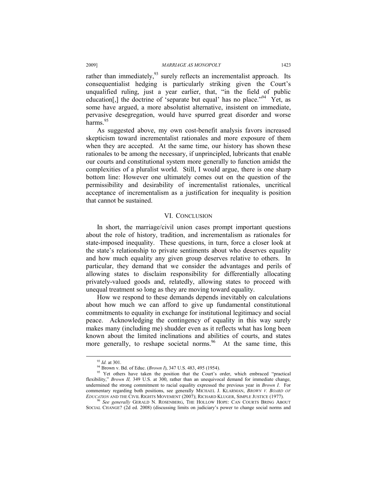rather than immediately,  $93$  surely reflects an incrementalist approach. Its consequentialist hedging is particularly striking given the Court's unqualified ruling, just a year earlier, that, "in the field of public education[,] the doctrine of 'separate but equal' has no place.<sup> $\frac{94}{4}$ </sup> Yet, as some have argued, a more absolutist alternative, insistent on immediate, pervasive desegregation, would have spurred great disorder and worse harms.<sup>95</sup>

As suggested above, my own cost-benefit analysis favors increased skepticism toward incrementalist rationales and more exposure of them when they are accepted. At the same time, our history has shown these rationales to be among the necessary, if unprincipled, lubricants that enable our courts and constitutional system more generally to function amidst the complexities of a pluralist world. Still, I would argue, there is one sharp bottom line: However one ultimately comes out on the question of the permissibility and desirability of incrementalist rationales, uncritical acceptance of incrementalism as a justification for inequality is position that cannot be sustained.

#### VI.CONCLUSION

In short, the marriage/civil union cases prompt important questions about the role of history, tradition, and incrementalism as rationales for state-imposed inequality. These questions, in turn, force a closer look at the state's relationship to private sentiments about who deserves equality and how much equality any given group deserves relative to others. In particular, they demand that we consider the advantages and perils of allowing states to disclaim responsibility for differentially allocating privately-valued goods and, relatedly, allowing states to proceed with unequal treatment so long as they are moving toward equality.

How we respond to these demands depends inevitably on calculations about how much we can afford to give up fundamental constitutional commitments to equality in exchange for institutional legitimacy and social peace. Acknowledging the contingency of equality in this way surely makes many (including me) shudder even as it reflects what has long been known about the limited inclinations and abilities of courts, and states more generally, to reshape societal norms.<sup>96</sup> At the same time, this

<sup>&</sup>lt;sup>93</sup> *Id.* at 301.<br><sup>94</sup> Brown v. Bd. of Educ. (*Brown I*), 347 U.S. 483, 495 (1954).<br><sup>95</sup> Yet others have taken the position that the Court's order, which embraced "practical flexibility," *Brown II*, 349 U.S. at 300, rather than an unequivocal demand for immediate change, undermined the strong commitment to racial equality expressed the previous year in *Brown I*. For commentary regarding both positions, see generally MICHAEL J. KLARMAN, *BROWN V. BOARD OF* 

<sup>&</sup>lt;sup>96</sup> See generally GERALD N. ROSENBERG, THE HOLLOW HOPE: CAN COURTS BRING ABOUT SOCIAL CHANGE? (2d ed. 2008) (discussing limits on judiciary's power to change social norms and